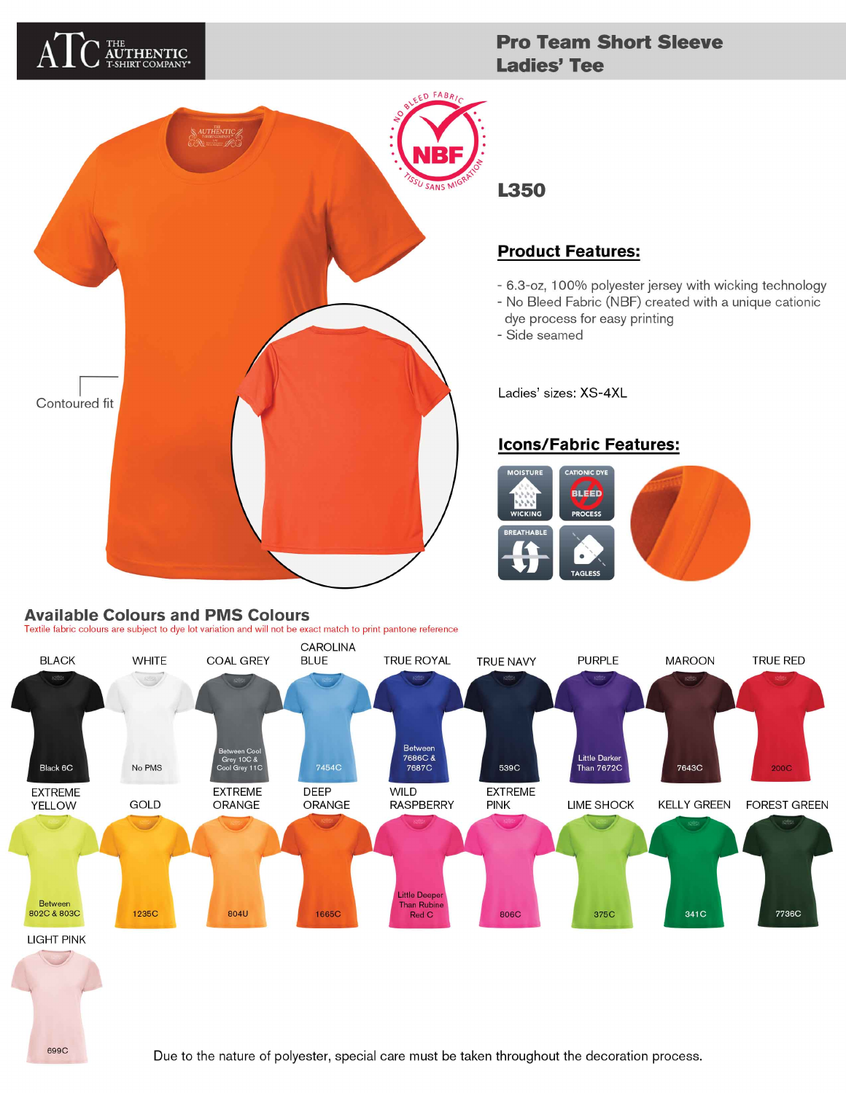# THE<br>**AUTHENTIC**<br>T-SHIRT COMPANY\*

## **Pro Team Short Sleeve Ladies' Tee**



## **L350**

## **Product Features:**

- 6.3-oz, 100% polyester jersey with wicking technology
- No Bleed Fabric (NBF) created with a unique cationic
- dye process for easy printing
- Side seamed

Ladies' sizes: XS-4XL

#### **Icons/Fabric Features:**



#### **Available Colours and PMS Colours**

699C

Textile fabric colours are subject to dye lot variation and will not be exact match to print pantone reference

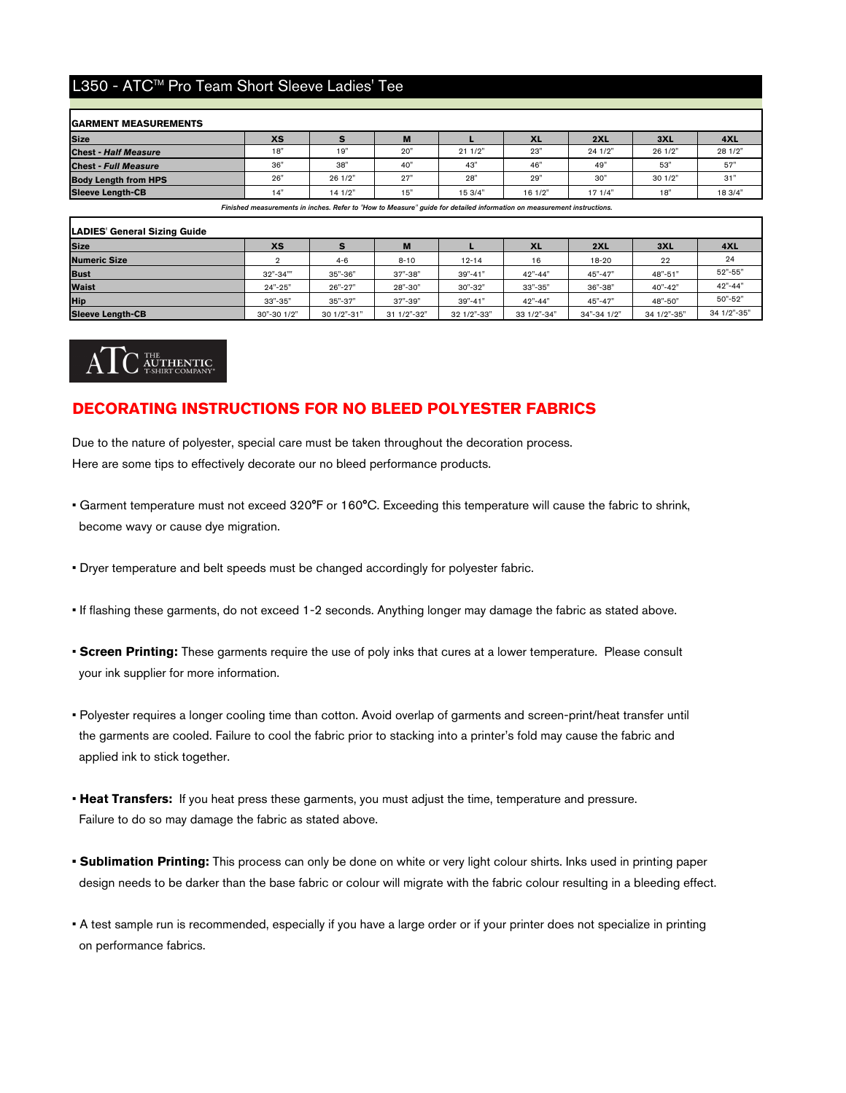#### L350 - ATC™ Pro Team Short Sleeve Ladies' Tee

| <b>GARMENT MEASUREMENTS</b> |           |         |     |         |           |        |         |         |
|-----------------------------|-----------|---------|-----|---------|-----------|--------|---------|---------|
| <b>Size</b>                 | <b>XS</b> |         | M   |         | <b>XL</b> | 2XL    | 3XL     | 4XL     |
| <b>Chest - Half Measure</b> | 18"       | 19"     | 20" | 211/2"  | 23"       | 241/2" | 26 1/2" | 28 1/2" |
| <b>Chest - Full Measure</b> | 36"       | 38"     | 40' | 43"     | 46"       | 49"    | 53"     | 57"     |
| <b>Body Length from HPS</b> | 26"       | 26 1/2" | 27' | 28"     | 29"       | 30"    | 30 1/2" | 31"     |
| <b>Sleeve Length-CB</b>     | 14"       | 14 1/2" | 15' | 15 3/4" | 16 1/2"   | 171/4" | 18"     | 18 3/4" |

Finished measurements in inches. Refer to "How to Measure" guide for detailed information on measurement instructi

| <b>LADIES' General Sizing Guide</b> |             |             |             |             |             |             |             |             |
|-------------------------------------|-------------|-------------|-------------|-------------|-------------|-------------|-------------|-------------|
| <b>Size</b>                         | <b>XS</b>   |             | M           |             | <b>XL</b>   | 2XL         | 3XL         | 4XL         |
| <b>Numeric Size</b>                 |             | $4 - 6$     | $8 - 10$    | $12 - 14$   | 16          | $18 - 20$   | 22          | 24          |
| <b>Bust</b>                         | $32" - 34"$ | 35"-36"     | 37"-38"     | 39"-41"     | $42" - 44"$ | 45"-47"     | 48"-51"     | 52"-55"     |
| <b>Waist</b>                        | $24" - 25"$ | 26"-27"     | 28"-30"     | 30"-32"     | 33"-35"     | 36"-38"     | 40"-42"     | $42" - 44"$ |
| <b>Hip</b>                          | 33"-35"     | 35"-37"     | 37"-39"     | 39"-41"     | 42"-44"     | 45"-47"     | 48"-50"     | 50"-52"     |
| <b>Sleeve Length-CB</b>             | 30"-30 1/2" | 30 1/2"-31" | 31 1/2"-32" | 32 1/2"-33" | 33 1/2"-34" | 34"-34 1/2" | 34 1/2"-35" | 34 1/2"-35" |



#### **DECORATING INSTRUCTIONS FOR NO BLEED POLYESTER FABRICS**

Due to the nature of polyester, special care must be taken throughout the decoration process. Here are some tips to effectively decorate our no bleed performance products.

- become wavy or cause dye migration. • Garment temperature must not exceed 320°F or 160°C. Exceeding this temperature will cause the fabric to shrink,
- Dryer temperature and belt speeds must be changed accordingly for polyester fabric.
- If flashing these garments, do not exceed 1-2 seconds. Anything longer may damage the fabric as stated above.
- **Screen Printing:** These garments require the use of poly inks that cures at a lower temperature. Please consult your ink supplier for more information.
- the garments are cooled. Failure to cool the fabric prior to stacking into a printer's fold may cause the fabric and applied ink to stick together. • Polyester requires a longer cooling time than cotton. Avoid overlap of garments and screen-print/heat transfer until
- **Heat Transfers:** If you heat press these garments, you must adjust the time, temperature and pressure. Failure to do so may damage the fabric as stated above.
- **Sublimation Printing:** This process can only be done on white or very light colour shirts. Inks used in printing paper design needs to be darker than the base fabric or colour will migrate with the fabric colour resulting in a bleeding effect.
- A test sample run is recommended, especially if you have a large order or if your printer does not specialize in printing on performance fabrics.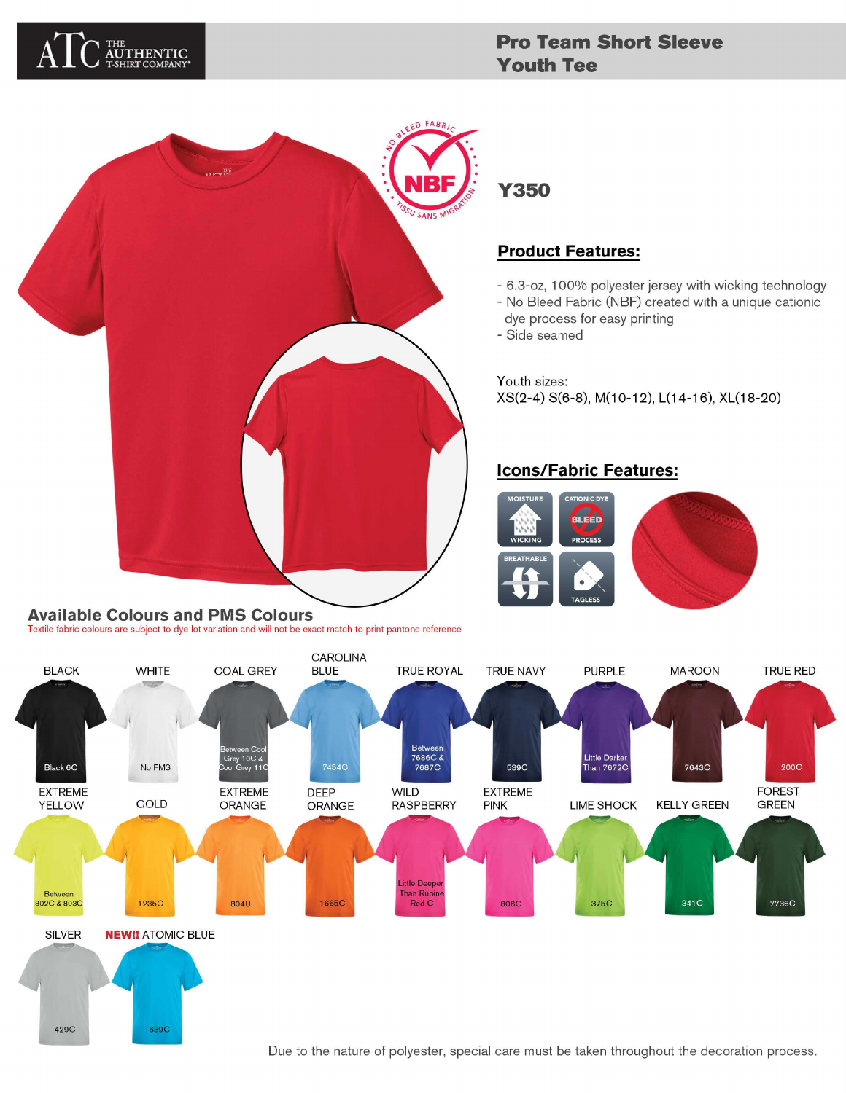

429C

639C

## **Pro Team Short Sleeve Youth Tee**



## **Product Features:**

- 6.3-oz, 100% polyester jersey with wicking technology
- No Bleed Fabric (NBF) created with a unique cationic
- dye process for easy printing
- Side seamed

Youth sizes: XS(2-4) S(6-8), M(10-12), L(14-16), XL(18-20)

## **Icons/Fabric Features:**





Due to the nature of polyester, special care must be taken throughout the decoration process.